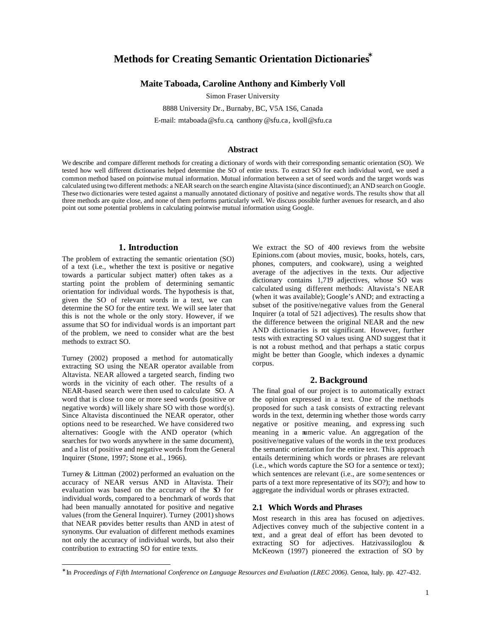# **Methods for Creating Semantic Orientation Dictionaries\***

# **Maite Taboada, Caroline Anthony and Kimberly Voll**

Simon Fraser University

8888 University Dr., Burnaby, BC, V5A 1S6, Canada

E-mail: mtaboada@sfu.ca, canthony@sfu.ca, kvoll@sfu.ca

# **Abstract**

We describe and compare different methods for creating a dictionary of words with their corresponding semantic orientation (SO). We tested how well different dictionaries helped determine the SO of entire texts. To extract SO for each individual word, we used a common method based on pointwise mutual information. Mutual information between a set of seed words and the target words was calculated using two different methods: a NEAR search on the search engine Altavista (since discontinued); an AND search on Google. These two dictionaries were tested against a manually annotated dictionary of positive and negative words. The results show that all three methods are quite close, and none of them performs particularly well. We discuss possible further avenues for research, an d also point out some potential problems in calculating pointwise mutual information using Google.

# **1. Introduction**

The problem of extracting the semantic orientation (SO) of a text (i.e., whether the text is positive or negative towards a particular subject matter) often takes as a starting point the problem of determining semantic orientation for individual words. The hypothesis is that, given the SO of relevant words in a text, we can determine the SO for the entire text. We will see later that this is not the whole or the only story. However, if we assume that SO for individual words is an important part of the problem, we need to consider what are the best methods to extract SO.

Turney (2002) proposed a method for automatically extracting SO using the NEAR operator available from Altavista. NEAR allowed a targeted search, finding two words in the vicinity of each other. The results of a NEAR-based search were then used to calculate SO. A word that is close to one or more seed words (positive or negative words) will likely share SO with those word(s). Since Altavista discontinued the NEAR operator, other options need to be researched. We have considered two alternatives: Google with the AND operator (which searches for two words anywhere in the same document), and a list of positive and negative words from the General Inquirer (Stone, 1997; Stone et al., 1966).

Turney & Littman (2002) performed an evaluation on the accuracy of NEAR versus AND in Altavista. Their evaluation was based on the accuracy of the SO for individual words, compared to a benchmark of words that had been manually annotated for positive and negative values (from the General Inquirer). Turney (2001) shows that NEAR provides better results than AND in a test of synonyms. Our evaluation of different methods examines not only the accuracy of individual words, but also their contribution to extracting SO for entire texts.

 $\overline{a}$ 

We extract the SO of 400 reviews from the website Epinions.com (about movies, music, books, hotels, cars, phones, computers, and cookware), using a weighted average of the adjectives in the texts. Our adjective dictionary contains 1,719 adjectives, whose SO was calculated using different methods: Altavista's NEAR (when it was available); Google's AND; and extracting a subset of the positive/negative values from the General Inquirer (a total of 521 adjectives). The results show that the difference between the original NEAR and the new AND dictionaries is not significant. However, further tests with extracting SO values using AND suggest that it is not a robust method, and that perhaps a static corpus might be better than Google, which indexes a dynamic corpus.

## **2. Background**

The final goal of our project is to automatically extract the opinion expressed in a text. One of the methods proposed for such a task consists of extracting relevant words in the text, determin ing whether those words carry negative or positive meaning, and expressing such meaning in a numeric value. An aggregation of the positive/negative values of the words in the text produces the semantic orientation for the entire text. This approach entails determining which words or phrases are relevant (i.e., which words capture the SO for a sentence or text); which sentences are relevant (i.e., are some sentences or parts of a text more representative of its SO?); and how to aggregate the individual words or phrases extracted.

# **2.1 Which Words and Phrases**

Most research in this area has focused on adjectives. Adjectives convey much of the subjective content in a text, and a great deal of effort has been devoted to extracting SO for adjectives. Hatzivassiloglou & McKeown (1997) pioneered the extraction of SO by

<sup>∗</sup> In *Proceedings of Fifth International Conference on Language Resources and Evaluation (LREC 2006)*. Genoa, Italy. pp. 427-432.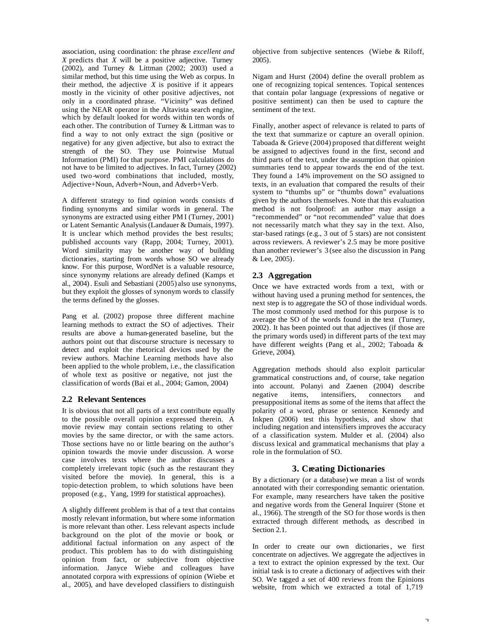association, using coordination: the phrase *excellent and X* predicts that *X* will be a positive adjective. Turney (2002), and Turney & Littman (2002; 2003) used a similar method, but this time using the Web as corpus. In their method, the adjective  $X$  is positive if it appears mostly in the vicinity of other positive adjectives, not only in a coordinated phrase. "Vicinity" was defined using the NEAR operator in the Altavista search engine, which by default looked for words within ten words of each other. The contribution of Turney & Littman was to find a way to not only extract the sign (positive or negative) for any given adjective, but also to extract the strength of the SO. They use Pointwise Mutual Information (PMI) for that purpose. PMI calculations do not have to be limited to adjectives. In fact, Turney (2002) used two-word combinations that included, mostly, Adjective+Noun, Adverb+Noun, and Adverb+Verb.

A different strategy to find opinion words consists of finding synonyms and similar words in general. The synonyms are extracted using either PM I (Turney, 2001) or Latent Semantic Analysis (Landauer & Dumais, 1997). It is unclear which method provides the best results; published accounts vary (Rapp, 2004; Turney, 2001). Word similarity may be another way of building dictionaries, starting from words whose SO we already know. For this purpose, WordNet is a valuable resource, since synonymy relations are already defined (Kamps et al., 2004). Esuli and Sebastiani (2005) also use synonyms, but they exploit the glosses of synonym words to classify the terms defined by the glosses.

Pang et al. (2002) propose three different machine learning methods to extract the SO of adjectives. Their results are above a human-generated baseline, but the authors point out that discourse structure is necessary to detect and exploit the rhetorical devices used by the review authors. Machine Learning methods have also been applied to the whole problem, i.e., the classification of whole text as positive or negative, not just the classification of words (Bai et al., 2004; Gamon, 2004)

# **2.2 Relevant Sentences**

It is obvious that not all parts of a text contribute equally to the possible overall opinion expressed therein. A movie review may contain sections relating to other movies by the same director, or with the same actors. Those sections have no or little bearing on the author's opinion towards the movie under discussion. A worse case involves texts where the author discusses a completely irrelevant topic (such as the restaurant they visited before the movie). In general, this is a topic-detection problem, to which solutions have been proposed (e.g., Yang, 1999 for statistical approaches).

A slightly different problem is that of a text that contains mostly relevant information, but where some information is more relevant than other. Less relevant aspects include background on the plot of the movie or book, or additional factual information on any aspect of the product. This problem has to do with distinguishing opinion from fact, or subjective from objective information. Janyce Wiebe and colleagues have annotated corpora with expressions of opinion (Wiebe et al., 2005), and have developed classifiers to distinguish

objective from subjective sentences (Wiebe & Riloff, 2005).

Nigam and Hurst (2004) define the overall problem as one of recognizing topical sentences. Topical sentences that contain polar language (expressions of negative or positive sentiment) can then be used to capture the sentiment of the text.

Finally, another aspect of relevance is related to parts of the text that summarize or capture an overall opinion. Taboada & Grieve (2004) proposed that different weight be assigned to adjectives found in the first, second and third parts of the text, under the assumption that opinion summaries tend to appear towards the end of the text. They found a 14% improvement on the SO assigned to texts, in an evaluation that compared the results of their system to "thumbs up" or "thumbs down" evaluations given by the authors themselves. Note that this evaluation method is not foolproof: an author may assign a "recommended" or "not recommended" value that does not necessarily match what they say in the text. Also, star-based ratings (e.g., 3 out of 5 stars) are not consistent across reviewers. A reviewer's 2.5 may be more positive than another reviewer's 3 (see also the discussion in Pang & Lee, 2005).

# **2.3 Aggregation**

Once we have extracted words from a text, with or without having used a pruning method for sentences, the next step is to aggregate the SO of those individual words. The most commonly used method for this purpose is to average the SO of the words found in the text (Turney, 2002). It has been pointed out that adjectives (if those are the primary words used) in different parts of the text may have different weights (Pang et al., 2002; Taboada & Grieve, 2004).

Aggregation methods should also exploit particular grammatical constructions and, of course, take negation into account. Polanyi and Zaenen (2004) describe negative items, intensifiers, connectors and presuppositional items as some of the items that affect the polarity of a word, phrase or sentence. Kennedy and Inkpen (2006) test this hypothesis, and show that including negation and intensifiers improves the accuracy of a classification system. Mulder et al. (2004) also discuss lexical and grammatical mechanisms that play a role in the formulation of SO.

# **3. Creating Dictionaries**

By a dictionary (or a database) we mean a list of words annotated with their corresponding semantic orientation. For example, many researchers have taken the positive and negative words from the General Inquirer (Stone et al., 1966). The strength of the SO for those words is then extracted through different methods, as described in Section 2.1.

In order to create our own dictionaries, we first concentrate on adjectives. We aggregate the adjectives in a text to extract the opinion expressed by the text. Our initial task is to create a dictionary of adjectives with their SO. We tagged a set of 400 reviews from the Epinions website, from which we extracted a total of 1,719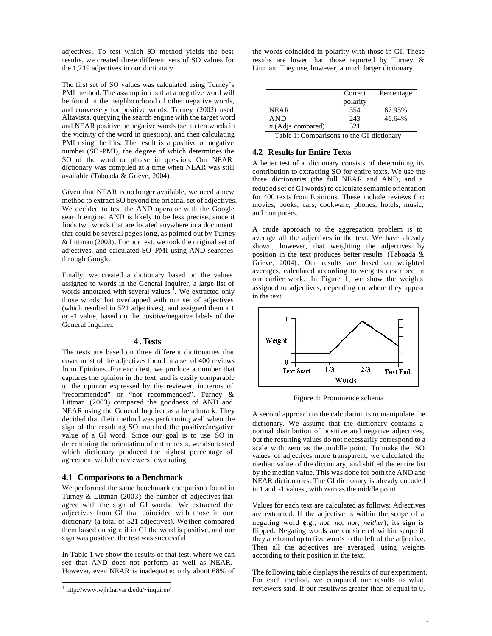adjectives. To test which SO method yields the best results, we created three different sets of SO values for the 1,719 adjectives in our dictionary.

The first set of SO values was calculated using Turney's PMI method. The assumption is that a negative word will be found in the neighbo urhood of other negative words, and conversely for positive words. Turney (2002) used Altavista, querying the search engine with the target word and NEAR positive or negative words (set to ten words in the vicinity of the word in question), and then calculating PMI using the hits. The result is a positive or negative number (SO -PMI), the degree of which determines the SO of the word or phrase in question. Our NEAR dictionary was compiled at a time when NEAR was still available (Taboada & Grieve, 2004).

Given that NEAR is no longer available, we need a new method to extract SO beyond the original set of adjectives. We decided to test the AND operator with the Google search engine. AND is likely to be less precise, since it finds two words that are located anywhere in a document that could be several pages long, as pointed out by Turney & Littman (2003). For our test, we took the original set of adjectives, and calculated SO -PMI using AND searches through Google.

Finally, we created a dictionary based on the values assigned to words in the General Inquirer, a large list of words annotated with several values  $\frac{1}{1}$ . We extracted only those words that overlapped with our set of adjectives (which resulted in 521 adjectives), and assigned them a 1 or -1 value, based on the positive/negative labels of the General Inquirer.

#### **4.Tests**

The tests are based on three different dictionaries that cover most of the adjectives found in a set of 400 reviews from Epinions. For each text, we produce a number that captures the opinion in the text, and is easily comparable to the opinion expressed by the reviewer, in terms of "recommended" or "not recommended". Turney & Littman (2003) compared the goodness of AND and NEAR using the General Inquirer as a benchmark. They decided that their method was performing well when the sign of the resulting SO matched the positive/negative value of a GI word. Since our goal is to use SO in determining the orientation of entire texts, we also tested which dictionary produced the highest percentage of agreement with the reviewers' own rating.

#### **4.1 Comparisons to a Benchmark**

We performed the same benchmark comparison found in Turney  $& Littman (2003)$ : the number of adjectives that agree with the sign of GI words. We extracted the adjectives from GI that coincided with those in our dictionary (a total of 521 adjectives). We then compared them based on sign: if in GI the word is positive, and our sign was positive, the test was successful.

In Table 1 we show the results of that test, where we can see that AND does not perform as well as NEAR. However, even NEAR is inadequat e: only about 68% of

 $\overline{a}$ 

the words coincided in polarity with those in GI. These results are lower than those reported by Turney & Littman. They use, however, a much larger dictionary.

|                     | Correct  | Percentage |
|---------------------|----------|------------|
|                     | polarity |            |
| <b>NEAR</b>         | 354      | 67.95%     |
| <b>AND</b>          | 243      | 46.64%     |
| $n$ (Adjs.compared) | 521      |            |
| ______              | -<br>. . | . .        |

Table 1: Comparisons to the GI dictionary

# **4.2 Results for Entire Texts**

A better test of a dictionary consists of determining its contribution to extracting SO for entire texts. We use the three dictionaries (the full NEAR and AND, and a reduced set of GI words) to calculate semantic orientation for 400 texts from Epinions. These include reviews for: movies, books, cars, cookware, phones, hotels, music, and computers.

A crude approach to the aggregation problem is to average all the adjectives in the text. We have already shown, however, that weighting the adjectives by position in the text produces better results (Taboada & Grieve, 2004). Our results are based on weighted averages, calculated according to weights described in our earlier work. In Figure 1, we show the weights assigned to adjectives, depending on where they appear in the text.



Figure 1: Prominence schema

A second approach to the calculation is to manipulate the dictionary. We assume that the dictionary contains a normal distribution of positive and negative adjectives, but the resulting values do not necessarily correspond to a scale with zero as the middle point. To make the SO values of adjectives more transparent, we calculated the median value of the dictionary, and shifted the entire list by the median value. This was done for both the AND and NEAR dictionaries. The GI dictionary is already encoded in 1 and -1 values, with zero as the middle point .

Values for each text are calculated as follows: Adjectives are extracted. If the adjective is within the scope of a negating word (e.g., *not, no, nor, neither*), its sign is flipped. Negating words are considered within scope if they are found up to five words to the left of the adjective. Then all the adjectives are averaged, using weights according to their position in the text.

The following table displays the results of our experiment. For each method, we compared our results to what reviewers said. If our result was greater than or equal to 0,

<sup>1</sup> http://www.wjh.harvard.edu/~inquirer/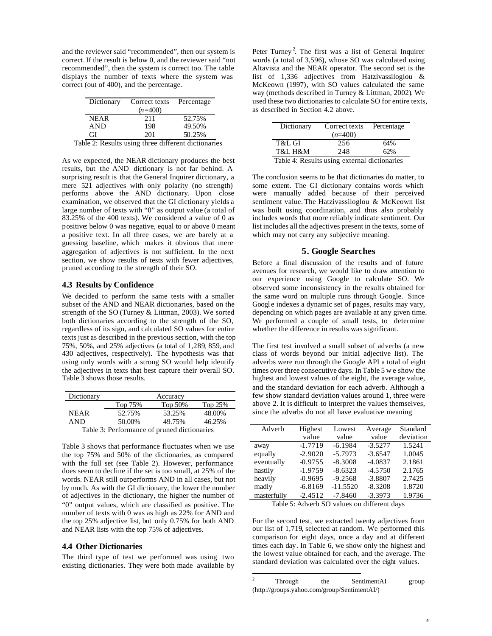and the reviewer said "recommended", then our system is correct. If the result is below 0, and the reviewer said "not recommended", then the system is correct too. The table displays the number of texts where the system was correct (out of 400), and the percentage.

| Dictionary                                          | Correct texts | Percentage |
|-----------------------------------------------------|---------------|------------|
|                                                     | $(n=400)$     |            |
| <b>NEAR</b>                                         | 211           | 52.75%     |
| <b>AND</b>                                          | 198           | 49.50%     |
| GI                                                  | 201           | 50.25%     |
| Table 2: Results using three different dictionaries |               |            |

As we expected, the NEAR dictionary produces the best results, but the AND dictionary is not far behind. A surprising result is that the General Inquirer dictionary, a mere 521 adjectives with only polarity (no strength) performs above the AND dictionary. Upon close examination, we observed that the GI dictionary yields a large number of texts with "0" as output value (a total of 83.25% of the 400 texts). We considered a value of 0 as positive: below 0 was negative, equal to or above 0 meant a positive text. In all three cases, we are barely at a guessing baseline, which makes it obvious that mere aggregation of adjectives is not sufficient. In the next section, we show results of tests with fewer adjectives, pruned according to the strength of their SO.

#### **4.3 Results by Confidence**

We decided to perform the same tests with a smaller subset of the AND and NEAR dictionaries, based on the strength of the SO (Turney & Littman, 2003). We sorted both dictionaries according to the strength of the SO, regardless of its sign, and calculated SO values for entire texts just as described in the previous section, with the top 75%, 50%, and 25% adjectives (a total of 1,289, 859, and 430 adjectives, respectively). The hypothesis was that using only words with a strong SO would help identify the adjectives in texts that best capture their overall SO. Table 3 shows those results.

| Dictionary                                  |         | Accuracy |         |
|---------------------------------------------|---------|----------|---------|
|                                             | Top 75% | Top 50%  | Top 25% |
| <b>NEAR</b>                                 | 52.75%  | 53.25%   | 48.00%  |
| <b>AND</b>                                  | 50.00%  | 49.75%   | 46.25%  |
| Table 3: Performance of pruned dictionaries |         |          |         |

Table 3 shows that performance fluctuates when we use the top 75% and 50% of the dictionaries, as compared with the full set (see Table 2). However, performance does seem to decline if the set is too small, at 25% of the words. NEAR still outperforms AND in all cases, but not by much. As with the GI dictionary, the lower the number of adjectives in the dictionary, the higher the number of "0" output values, which are classified as positive. The number of texts with 0 was as high as 22% for AND and the top 25% adjective list, but only 0.75% for both AND and NEAR lists with the top 75% of adjectives.

# **4.4 Other Dictionaries**

The third type of test we performed was using two existing dictionaries. They were both made available by

Peter Turney<sup>2</sup>. The first was a list of General Inquirer words (a total of 3,596), whose SO was calculated using Altavista and the NEAR operator. The second set is the list of 1,336 adjectives from Hatzivassiloglou & McKeown (1997), with SO values calculated the same way (methods described in Turney & Littman, 2002). We used these two dictionaries to calculate SO for entire texts, as described in Section 4.2 above.

| Dictionary                                   | Correct texts | Percentage |  |
|----------------------------------------------|---------------|------------|--|
|                                              | $(n=400)$     |            |  |
| T&L GI                                       | 256           | 64%        |  |
| T&L H&M                                      | 248           | 62%        |  |
| Table 4: Results using external dictionaries |               |            |  |

The conclusion seems to be that dictionaries do matter, to some extent. The GI dictionary contains words which were manually added because of their perceived sentiment value. The Hatzivassiloglou & McKeown list was built using coordination, and thus also probably includes words that more reliably indicate sentiment. Our list includes all the adjectives present in the texts, some of which may not carry any subjective meaning.

# **5. Google Searches**

Before a final discussion of the results and of future avenues for research, we would like to draw attention to our experience using Google to calculate SO. We observed some inconsistency in the results obtained for the same word on multiple runs through Google. Since Googl e indexes a dynamic set of pages, results may vary, depending on which pages are available at any given time. We performed a couple of small tests, to determine whether the difference in results was significant.

The first test involved a small subset of adverbs (a new class of words beyond our initial adjective list). The adverbs were run through the Google API a total of eight times over three consecutive days. In Table 5 w e show the highest and lowest values of the eight, the average value, and the standard deviation for each adverb. Although a few show standard deviation values around 1, three were above 2. It is difficult to interpret the values themselves, since the adverbs do not all have evaluative meaning

| Adverb      | Highest   | Lowest     | Average   | Standard  |
|-------------|-----------|------------|-----------|-----------|
|             | value     | value      | value     | deviation |
| away        | $-1.7719$ | $-6.1984$  | $-3.5277$ | 1.5241    |
| equally     | $-2.9020$ | $-5.7973$  | $-3.6547$ | 1.0045    |
| eventually  | $-0.9755$ | $-8.3008$  | $-4.0837$ | 2.1861    |
| hastily     | $-1.9759$ | $-8.6323$  | $-4.5750$ | 2.1765    |
| heavily     | $-0.9695$ | $-9.2568$  | $-3.8807$ | 2.7425    |
| madly       | $-6.8169$ | $-11.5520$ | $-8.3208$ | 1.8720    |
| masterfully | $-2.4512$ | $-7.8460$  | $-3.3973$ | 1.9736    |

Table 5: Adverb SO values on different days

For the second test, we extracted twenty adjectives from our list of 1,719, selected at random. We performed this comparison for eight days, once a day and at different times each day. In Table 6, we show only the highest and the lowest value obtained for each, and the average. The standard deviation was calculated over the eight values.

 $\overline{c}$ Through the SentimentAI group (http://groups.yahoo.com/group/SentimentAI/)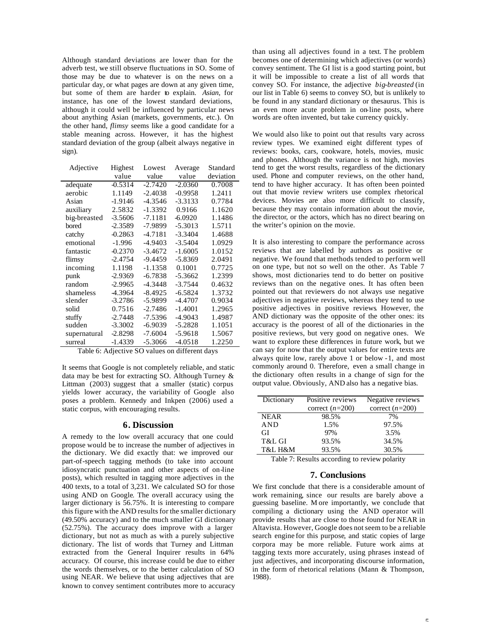Although standard deviations are lower than for the adverb test, we still observe fluctuations in SO. Some of those may be due to whatever is on the news on a particular day, or what pages are down at any given time, but some of them are harder to explain. *Asian*, for instance, has one of the lowest standard deviations, although it could well be influenced by particular news about anything Asian (markets, governments, etc.). On the other hand, *flimsy* seems like a good candidate for a stable meaning across. However, it has the highest standard deviation of the group (albeit always negative in sign).

| Adjective    | Highest   | Lowest    | Average   | Standard  |
|--------------|-----------|-----------|-----------|-----------|
|              | value     | value     | value     | deviation |
| adequate     | $-0.5314$ | $-2.7420$ | $-2.0360$ | 0.7008    |
| aerobic      | 1.1149    | $-2.4038$ | $-0.9958$ | 1.2411    |
| Asian        | $-1.9146$ | $-4.3546$ | $-3.3133$ | 0.7784    |
| auxiliary    | 2.5832    | -1.3392   | 0.9166    | 1.1620    |
| big-breasted | $-3.5606$ | $-7.1181$ | $-6.0920$ | 1.1486    |
| bored        | $-2.3589$ | $-7.9899$ | $-5.3013$ | 1.5711    |
| catchy       | $-0.2863$ | $-4.7181$ | $-3.3404$ | 1.4688    |
| emotional    | $-1.996$  | $-4.9403$ | $-3.5404$ | 1.0929    |
| fantastic    | $-0.2370$ | $-3.4672$ | $-1.6005$ | 1.0152    |
| flimsy       | $-2.4754$ | $-9.4459$ | $-5.8369$ | 2.0491    |
| incoming     | 1.1198    | $-1.1358$ | 0.1001    | 0.7725    |
| punk         | $-2.9369$ | $-6.7838$ | $-5.3662$ | 1.2399    |
| random       | $-2.9965$ | $-4.3448$ | $-3.7544$ | 0.4632    |
| shameless    | -4.3964   | $-8.4925$ | $-6.5824$ | 1.3732    |
| slender      | $-3.2786$ | $-5.9899$ | $-4.4707$ | 0.9034    |
| solid        | 0.7516    | $-2.7486$ | $-1.4001$ | 1.2965    |
| stuffy       | $-2.7448$ | $-7.5396$ | $-4.9043$ | 1.4987    |
| sudden       | $-3.3002$ | $-6.9039$ | $-5.2828$ | 1.1051    |
| supernatural | $-2.8298$ | $-7.6004$ | $-5.9618$ | 1.5067    |
| surreal      | $-1.4339$ | $-5.3066$ | $-4.0518$ | 1.2250    |

Table 6: Adjective SO values on different days

It seems that Google is not completely reliable, and static data may be best for extracting SO. Although Turney & Littman (2003) suggest that a smaller (static) corpus yields lower accuracy, the variability of Google also poses a problem. Kennedy and Inkpen (2006) used a static corpus, with encouraging results.

#### **6. Discussion**

A remedy to the low overall accuracy that one could propose would be to increase the number of adjectives in the dictionary. We did exactly that: we improved our part-of-speech tagging methods (to take into account idiosyncratic punctuation and other aspects of on-line posts), which resulted in tagging more adjectives in the 400 texts, to a total of 3,231. We calculated SO for those using AND on Google. The overall accuracy using the larger dictionary is 56.75%. It is interesting to compare this figure with the AND results for the smaller dictionary (49.50% accuracy) and to the much smaller GI dictionary (52.75%). The accuracy does improve with a larger dictionary, but not as much as with a purely subjective dictionary. The list of words that Turney and Littman extracted from the General Inquirer results in 64% accuracy. Of course, this increase could be due to either the words themselves, or to the better calculation of SO using NEAR. We believe that using adjectives that are known to convey sentiment contributes more to accuracy

than using all adjectives found in a text. The problem becomes one of determining which adjectives (or words) convey sentiment. The GI list is a good starting point, but it will be impossible to create a list of all words that convey SO. For instance, the adjective *big-breasted* (in our list in Table 6) seems to convey SO, but is unlikely to be found in any standard dictionary or thesaurus. This is an even more acute problem in on-line posts, where words are often invented, but take currency quickly.

We would also like to point out that results vary across review types. We examined eight different types of reviews: books, cars, cookware, hotels, movies, music and phones. Although the variance is not high, movies tend to get the worst results, regardless of the dictionary used. Phone and computer reviews, on the other hand, tend to have higher accuracy. It has often been pointed out that movie review writers use complex rhetorical devices. Movies are also more difficult to classify, because they may contain information about the movie, the director, or the actors, which has no direct bearing on the writer's opinion on the movie.

It is also interesting to compare the performance across reviews that are labelled by authors as positive or negative. We found that methods tended to perform well on one type, but not so well on the other. As Table 7 shows, most dictionaries tend to do better on positive reviews than on the negative ones. It has often been pointed out that reviewers do not always use negative adjectives in negative reviews, whereas they tend to use positive adjectives in positive reviews. However, the AND dictionary was the opposite of the other ones: its accuracy is the poorest of all of the dictionaries in the positive reviews, but very good on negative ones. We want to explore these differences in future work, but we can say for now that the output values for entire texts are always quite low, rarely above 1 or below -1, and most commonly around 0. Therefore, even a small change in the dictionary often results in a change of sign for the output value. Obviously, AND also has a negative bias.

| Dictionary  | Positive reviews  | Negative reviews  |
|-------------|-------------------|-------------------|
|             |                   |                   |
|             | correct $(n=200)$ | correct $(n=200)$ |
| <b>NEAR</b> | 98.5%             | 7%                |
| <b>AND</b>  | 1.5%              | 97.5%             |
| GI          | 97%               | 3.5%              |
| T&L GI      | 93.5%             | 34.5%             |
| T&L H&M     | 93.5%             | 30.5%             |

Table 7: Results according to review polarity

# **7. Conclusions**

We first conclude that there is a considerable amount of work remaining, since our results are barely above a guessing baseline. M ore importantly, we conclude that compiling a dictionary using the AND operator will provide results t hat are close to those found for NEAR in Altavista. However, Google does not seem to be a reliable search engine for this purpose, and static copies of large corpora may be more reliable. Future work aims at tagging texts more accurately, using phrases instead of just adjectives, and incorporating discourse information, in the form of rhetorical relations (Mann & Thompson, 1988).